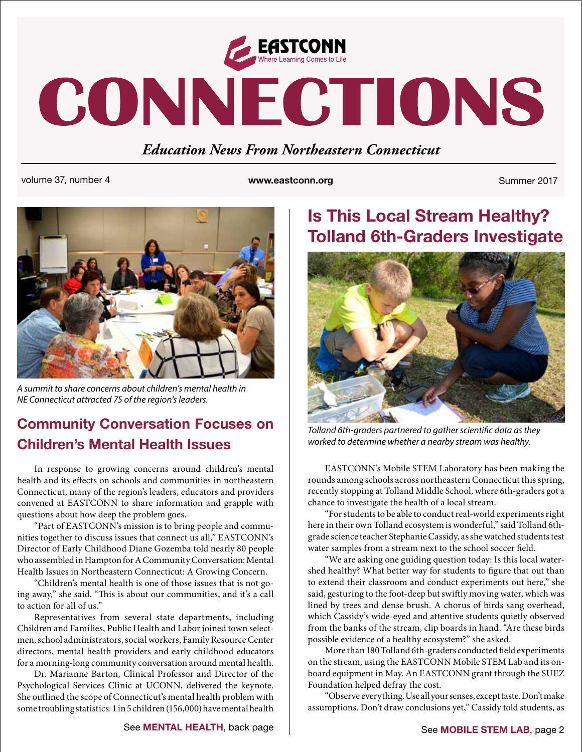

# CONNECTIONS

## *Education News From Northeastern Connecticut*

volume 37, number 4 **www.eastconn.org** Summer 2017



*A summit to share concerns about children's mental health in NE Connecticut attracted 75 of the region's leaders.*

### **Community Conversation Focuses on Children's Mental Health Issues**

In response to growing concerns around children's mental health and its effects on schools and communities in northeastern Connecticut, many of the region's leaders, educators and providers convened at EASTCONN to share information and grapple with questions about how deep the problem goes.

"Part of EASTCONN's mission is to bring people and communities together to discuss issues that connect us all," EASTCONN's Director of Early Childhood Diane Gozemba told nearly 80 people who assembled in Hampton for A Community Conversation: Mental Health Issues in Northeastern Connecticut: A Growing Concern.

"Children's mental health is one of those issues that is not going away," she said. "This is about our communities, and it's a call to action for all of us."

Representatives from several state departments, including Children and Families, Public Health and Labor joined town selectmen, school administrators, social workers, Family Resource Center directors, mental health providers and early childhood educators for a morning-long community conversation around mental health.

Dr. Marianne Barton, Clinical Professor and Director of the Psychological Services Clinic at UCONN, delivered the keynote. She outlined the scope of Connecticut's mental health problem with some troubling statistics: 1 in 5 children (156,000) have mental health

# **Is This Local Stream Healthy? Tolland 6th-Graders Investigate**



*Tolland 6th-graders partnered to gather scientific data as they worked to determine whether a nearby stream was healthy.* 

EASTCONN's Mobile STEM Laboratory has been making the rounds among schools across northeastern Connecticut this spring, recently stopping at Tolland Middle School, where 6th-graders got a chance to investigate the health of a local stream.

"For students to be able to conduct real-world experiments right here in their own Tolland ecosystem is wonderful," said Tolland 6thgrade science teacher Stephanie Cassidy, as she watched students test water samples from a stream next to the school soccer field.

"We are asking one guiding question today: Is this local watershed healthy? What better way for students to figure that out than to extend their classroom and conduct experiments out here," she said, gesturing to the foot-deep but swiftly moving water, which was lined by trees and dense brush. A chorus of birds sang overhead, which Cassidy's wide-eyed and attentive students quietly observed from the banks of the stream, clip boards in hand. "Are these birds possible evidence of a healthy ecosystem?" she asked.

More than 180 Tolland 6th-graders conducted field experiments on the stream, using the EASTCONN Mobile STEM Lab and its onboard equipment in May. An EASTCONN grant through the SUEZ Foundation helped defray the cost.

"Observe everything. Use all your senses, except taste. Don't make assumptions. Don't draw conclusions yet," Cassidy told students, as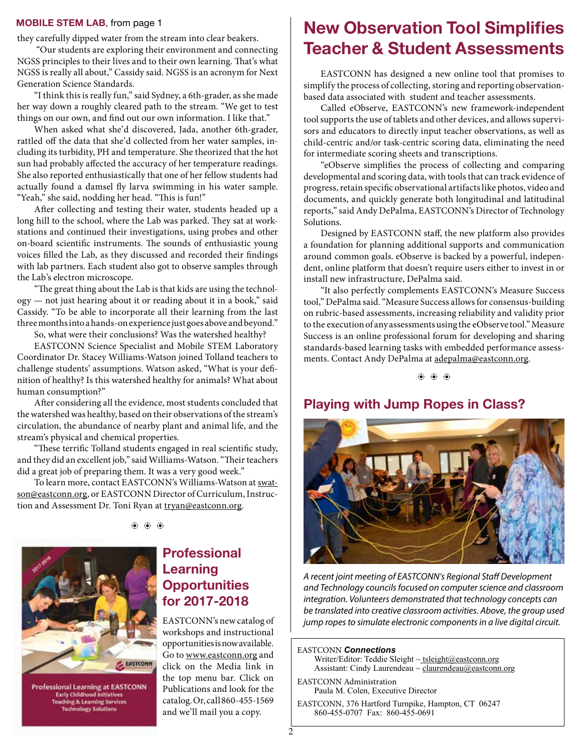#### **MOBILE STEM LAB**, from page 1

they carefully dipped water from the stream into clear beakers.

 "Our students are exploring their environment and connecting NGSS principles to their lives and to their own learning. That's what NGSS is really all about," Cassidy said. NGSS is an acronym for Next Generation Science Standards.

"I think this is really fun," said Sydney, a 6th-grader, as she made her way down a roughly cleared path to the stream. "We get to test things on our own, and find out our own information. I like that."

When asked what she'd discovered, Jada, another 6th-grader, rattled off the data that she'd collected from her water samples, including its turbidity, PH and temperature. She theorized that the hot sun had probably affected the accuracy of her temperature readings. She also reported enthusiastically that one of her fellow students had actually found a damsel fly larva swimming in his water sample. "Yeah," she said, nodding her head. "This is fun!"

After collecting and testing their water, students headed up a long hill to the school, where the Lab was parked. They sat at workstations and continued their investigations, using probes and other on-board scientific instruments. The sounds of enthusiastic young voices filled the Lab, as they discussed and recorded their findings with lab partners. Each student also got to observe samples through the Lab's electron microscope.

"The great thing about the Lab is that kids are using the technology — not just hearing about it or reading about it in a book," said Cassidy. "To be able to incorporate all their learning from the last three months into a hands-on experience just goes above and beyond."

So, what were their conclusions? Was the watershed healthy?

EASTCONN Science Specialist and Mobile STEM Laboratory Coordinator Dr. Stacey Williams-Watson joined Tolland teachers to challenge students' assumptions. Watson asked, "What is your definition of healthy? Is this watershed healthy for animals? What about human consumption?"

After considering all the evidence, most students concluded that the watershed was healthy, based on their observations of the stream's circulation, the abundance of nearby plant and animal life, and the stream's physical and chemical properties.

"These terrific Tolland students engaged in real scientific study, and they did an excellent job," said Williams-Watson. "Their teachers did a great job of preparing them. It was a very good week."

To learn more, contact EASTCONN's Williams-Watson at [swat](mailto:swatson@eastconn.org)[son@eastconn.org,](mailto:swatson@eastconn.org) or EASTCONN Director of Curriculum, Instruction and Assessment Dr. Toni Ryan at [tryan@eastconn.org](mailto:tryan@eastconn.org).

 $\langle \hat{\bullet} \rangle$   $\langle \hat{\bullet} \rangle$   $\langle \hat{\bullet} \rangle$ 



**Professional Learning at EASTCONN**<br>Early Childhood Initiatives **Teaching & Learning Services Technology Solutions** 

#### **Professional Learning Opportunities for 2017-2018**

EASTCONN's new catalog of workshops and instructional opportunities is now available. Go to www.eastconn.org and click on the Media link in the top menu bar. Click on Publications and look for the catalog. Or, call 860-455-1569 and we'll mail you a copy.

### **New Observation Tool Simplifes Teacher & Student Assessments**

EASTCONN has designed a new online tool that promises to simplify the process of collecting, storing and reporting observationbased data associated with student and teacher assessments.

Called eObserve, EASTCONN's new framework-independent tool supports the use of tablets and other devices, and allows supervisors and educators to directly input teacher observations, as well as child-centric and/or task-centric scoring data, eliminating the need for intermediate scoring sheets and transcriptions.

"eObserve simplifies the process of collecting and comparing developmental and scoring data, with tools that can track evidence of progress, retain specific observational artifacts like photos, video and documents, and quickly generate both longitudinal and latitudinal reports," said Andy DePalma, EASTCONN's Director of Technology Solutions.

Designed by EASTCONN staff, the new platform also provides a foundation for planning additional supports and communication around common goals. eObserve is backed by a powerful, independent, online platform that doesn't require users either to invest in or install new infrastructure, DePalma said.

"It also perfectly complements EASTCONN's Measure Success tool," DePalma said. "Measure Success allows for consensus-building on rubric-based assessments, increasing reliability and validity prior to the execution of any assessments using the eObserve tool." Measure Success is an online professional forum for developing and sharing standards-based learning tasks with embedded performance assessments. Contact Andy DePalma at [adepalma@eastconn.org](mailto:adepalma@eastconn.org).

b b b

#### **Playing with Jump Ropes in Class?**



*A recent joint meeting of EASTCONN's Regional Sta*" *Development and Technology councils focused on computer science and classroom integration. Volunteers demonstrated that technology concepts can be translated into creative classroom activities. Above, the group used jump ropes to simulate electronic components in a live digital circuit.* 

EASTCONN *Connections*  Writer/Editor: Teddie Sleight ~ tsleigh[t@eastconn.org](mailto:tsleight@eastconn.org) Assistant: Cindy Laurendeau  $\sim$  [claurendeau@eastconn.org](mailto:claurendeau@eastconn.org)

EASTCONN Administration Paula M. Colen, Executive Director

EASTCONN, 376 Hartford Turnpike, Hampton, CT 06247 860-455-0707 Fax: 860-455-0691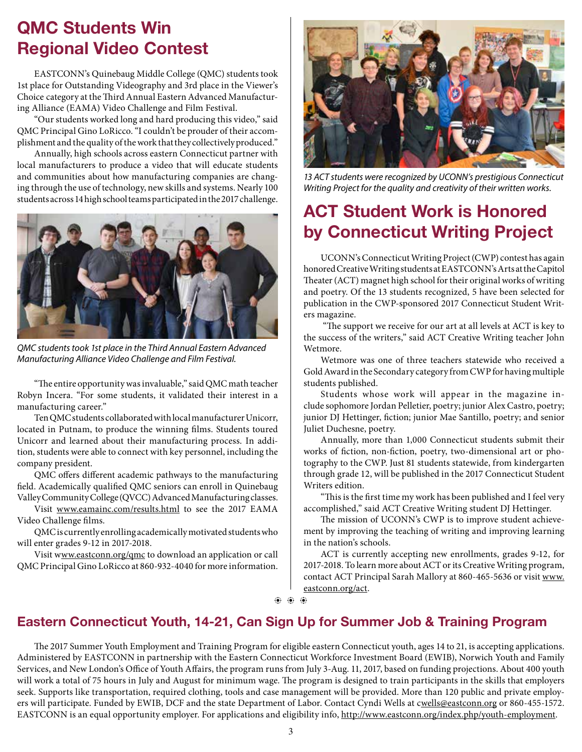## **QMC Students Win Regional Video Contest**

EASTCONN's Quinebaug Middle College (QMC) students took 1st place for Outstanding Videography and 3rd place in the Viewer's Choice category at the Third Annual Eastern Advanced Manufacturing Alliance (EAMA) Video Challenge and Film Festival.

"Our students worked long and hard producing this video," said QMC Principal Gino LoRicco. "I couldn't be prouder of their accomplishment and the quality of the work that they collectively produced."

Annually, high schools across eastern Connecticut partner with local manufacturers to produce a video that will educate students and communities about how manufacturing companies are changing through the use of technology, new skills and systems. Nearly 100 students across 14 high school teams participated in the 2017 challenge.



*QMC students took 1st place in the Third Annual Eastern Advanced Manufacturing Alliance Video Challenge and Film Festival.* 

"The entire opportunity was invaluable," said QMC math teacher Robyn Incera. "For some students, it validated their interest in a manufacturing career."

Ten QMC students collaborated with local manufacturer Unicorr, located in Putnam, to produce the winning films. Students toured Unicorr and learned about their manufacturing process. In addition, students were able to connect with key personnel, including the company president.

QMC offers different academic pathways to the manufacturing field. Academically qualified QMC seniors can enroll in Quinebaug Valley Community College (QVCC) Advanced Manufacturing classes.

Visit [www.eamainc.com/results.html](http://www.eamainc.com/results.html) to see the 2017 EAMA Video Challenge films.

QMC is currently enrolling academically motivated students who will enter grades 9-12 in 2017-2018.

Visit [www.eastconn.org/qmc](http://www.eastconn.org/qmc) to download an application or call QMC Principal Gino LoRicco at 860-932-4040 for more information.



*13 ACT students were recognized by UCONN's prestigious Connecticut Writing Project for the quality and creativity of their written works.* 

# **ACT Student Work is Honored by Connecticut Writing Project**

UCONN's Connecticut Writing Project (CWP) contest has again honored Creative Writing students at EASTCONN's Arts at the Capitol Theater (ACT) magnet high school for their original works of writing and poetry. Of the 13 students recognized, 5 have been selected for publication in the CWP-sponsored 2017 Connecticut Student Writers magazine.

"The support we receive for our art at all levels at ACT is key to the success of the writers," said ACT Creative Writing teacher John Wetmore.

Wetmore was one of three teachers statewide who received a Gold Award in the Secondary category from CWP for having multiple students published.

Students whose work will appear in the magazine include sophomore Jordan Pelletier, poetry; junior Alex Castro, poetry; junior DJ Hettinger, fiction; junior Mae Santillo, poetry; and senior Juliet Duchesne, poetry.

Annually, more than 1,000 Connecticut students submit their works of fiction, non-fiction, poetry, two-dimensional art or photography to the CWP. Just 81 students statewide, from kindergarten through grade 12, will be published in the 2017 Connecticut Student Writers edition.

"This is the first time my work has been published and I feel very accomplished," said ACT Creative Writing student DJ Hettinger.

The mission of UCONN's CWP is to improve student achievement by improving the teaching of writing and improving learning in the nation's schools.

ACT is currently accepting new enrollments, grades 9-12, for 2017-2018. To learn more about ACT or its Creative Writing program, contact ACT Principal Sarah Mallory at 860-465-5636 or visit [www.](http://www.eastconn.org/act) [eastconn.org/act.](http://www.eastconn.org/act)

b b b

#### **Eastern Connecticut Youth, 14-21, Can Sign Up for Summer Job & Training Program**

The 2017 Summer Youth Employment and Training Program for eligible eastern Connecticut youth, ages 14 to 21, is accepting applications. Administered by EASTCONN in partnership with the Eastern Connecticut Workforce Investment Board (EWIB), Norwich Youth and Family Services, and New London's Office of Youth Affairs, the program runs from July 3-Aug. 11, 2017, based on funding projections. About 400 youth will work a total of 75 hours in July and August for minimum wage. The program is designed to train participants in the skills that employers seek. Supports like transportation, required clothing, tools and case management will be provided. More than 120 public and private employers will participate. Funded by EWIB, DCF and the state Department of Labor. Contact Cyndi Wells at [cwells@eastconn.org](mailto:cwells@eastconn.org) or 860-455-1572. EASTCONN is an equal opportunity employer. For applications and eligibility info, [http://www.eastconn.org/index.php/youth-employment.](http://www.eastconn.org/index.php/youth-employment)